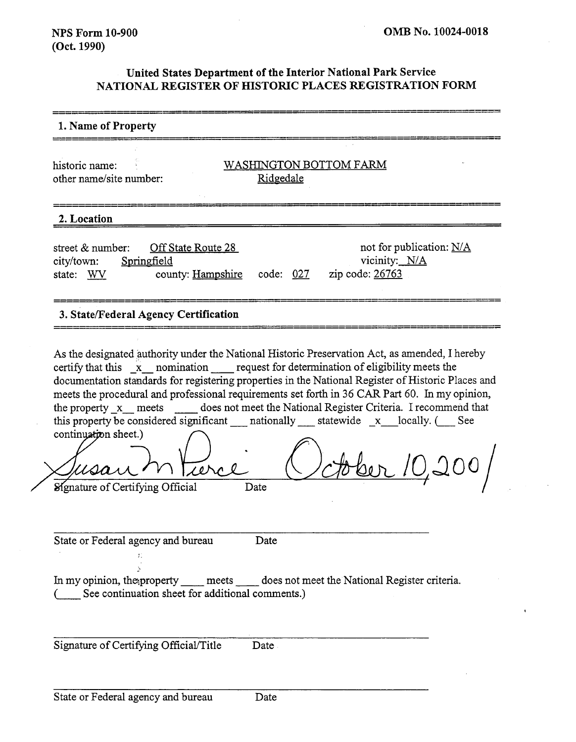# **United States Department of the Interior National Park Service NATIONAL REGISTER OF HISTORIC PLACES REGISTRATION FORM**

| 1. Name of Property                                                                                                                                                                                                                                                                                                                                                                                                                                                                                                                                                           |
|-------------------------------------------------------------------------------------------------------------------------------------------------------------------------------------------------------------------------------------------------------------------------------------------------------------------------------------------------------------------------------------------------------------------------------------------------------------------------------------------------------------------------------------------------------------------------------|
| WASHINGTON BOTTOM FARM<br>historic name:<br>other name/site number:<br>Ridgedale                                                                                                                                                                                                                                                                                                                                                                                                                                                                                              |
| 2. Location                                                                                                                                                                                                                                                                                                                                                                                                                                                                                                                                                                   |
| not for publication: N/A<br>street & number:<br>Off State Route 28<br>vicinity: N/A<br>city/town:<br>Springfield<br>zip code: 26763<br>code: 027<br>county: Hampshire<br>state: WV                                                                                                                                                                                                                                                                                                                                                                                            |
| 3. State/Federal Agency Certification                                                                                                                                                                                                                                                                                                                                                                                                                                                                                                                                         |
| As the designated authority under the National Historic Preservation Act, as amended, I hereby<br>certify that this x nomination request for determination of eligibility meets the<br>documentation standards for registering properties in the National Register of Historic Places and<br>meets the procedural and professional requirements set forth in 36 CAR Part 60. In my opinion,<br>the property x meets does not meet the National Register Criteria. I recommend that<br>continuation sheet.)<br>bber 10,200/<br><b>Signature of Certifying Official</b><br>Date |
| State or Federal agency and bureau<br>Date<br>In my opinion, the property _____ meets _____ does not meet the National Register criteria.<br>See continuation sheet for additional comments.)                                                                                                                                                                                                                                                                                                                                                                                 |
| Signature of Certifying Official/Title<br>Date                                                                                                                                                                                                                                                                                                                                                                                                                                                                                                                                |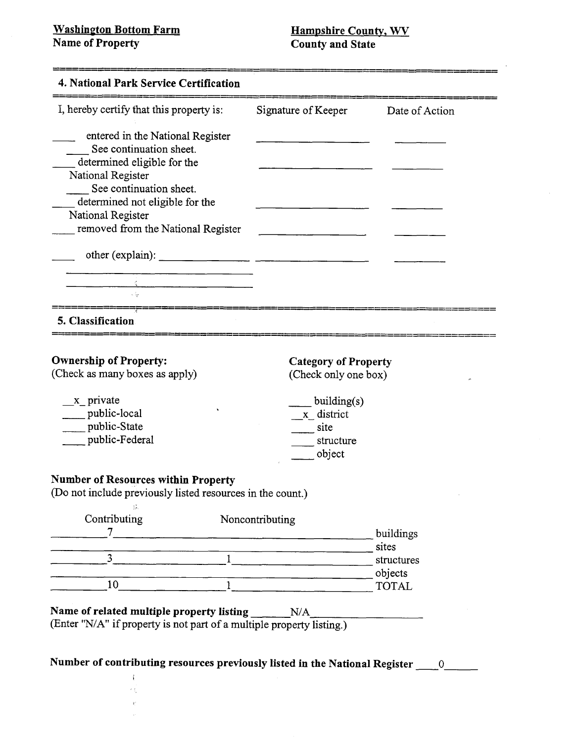$\tilde{\mathcal{R}}$  $\hat{\psi}$ 

**Name of Property** 

| I, hereby certify that this property is:                              | Signature of Keeper                                                                                                  | Date of Action          |
|-----------------------------------------------------------------------|----------------------------------------------------------------------------------------------------------------------|-------------------------|
| entered in the National Register                                      |                                                                                                                      |                         |
| See continuation sheet.                                               |                                                                                                                      |                         |
| determined eligible for the<br>National Register                      |                                                                                                                      |                         |
| See continuation sheet.                                               |                                                                                                                      |                         |
| determined not eligible for the                                       |                                                                                                                      |                         |
| National Register                                                     |                                                                                                                      |                         |
| removed from the National Register                                    | $\overline{\phantom{a}}$ and $\overline{\phantom{a}}$ and $\overline{\phantom{a}}$ and $\overline{\phantom{a}}$      |                         |
|                                                                       |                                                                                                                      |                         |
|                                                                       |                                                                                                                      |                         |
| <u> 1980 - Jan Barbarat, martin di</u>                                |                                                                                                                      |                         |
|                                                                       |                                                                                                                      |                         |
| 5. Classification                                                     |                                                                                                                      |                         |
|                                                                       |                                                                                                                      |                         |
| <b>Ownership of Property:</b>                                         | <b>Category of Property</b>                                                                                          |                         |
| (Check as many boxes as apply)                                        | (Check only one box)                                                                                                 |                         |
| x private                                                             | building(s)                                                                                                          |                         |
| public-local                                                          | x district                                                                                                           |                         |
| public-State                                                          | site                                                                                                                 |                         |
| public-Federal                                                        | structure                                                                                                            |                         |
|                                                                       | object                                                                                                               |                         |
| <b>Number of Resources within Property</b>                            |                                                                                                                      |                         |
| (Do not include previously listed resources in the count.)            |                                                                                                                      |                         |
| Contributing                                                          | Noncontributing                                                                                                      |                         |
| $\tau$                                                                | <u> Territoria de la contenentación de la contenentación de la contenentación de la contenentación de la contene</u> | buildings               |
|                                                                       |                                                                                                                      | sites                   |
| $\overline{3}$<br>$\mathbf{1}$                                        |                                                                                                                      | structures              |
| $\mathbf{1}$<br>10                                                    |                                                                                                                      | objects<br><b>TOTAL</b> |
|                                                                       |                                                                                                                      |                         |
| Name of related multiple property listing                             | N/A                                                                                                                  |                         |
| (Enter "N/A" if property is not part of a multiple property listing.) |                                                                                                                      |                         |
|                                                                       |                                                                                                                      |                         |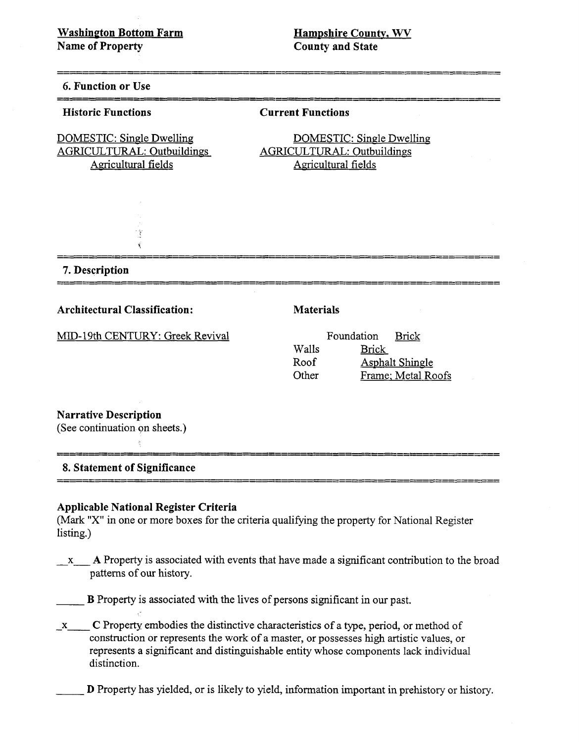**Hampshire County, WV County and State** 

#### 6. Function or Use

#### **Historic Functions**

#### **Current Functions**

AGRICULTURAL: Outbuildings AGRICULTURAL: Outbuildings Agricultural fields Agricultural fields

> 1\$  $\vec{q}$

DOMESTIC: Single Dwelling DOMESTIC: Single Dwelling

**7. Description** 

**Architectural Classification: Materials** 

MID-19th CENTURY: Greek Revival

|       | Foundation   | <b>Brick</b>           |
|-------|--------------|------------------------|
| Walls | <b>Brick</b> |                        |
| Roof  |              | <b>Asphalt Shingle</b> |
| Other |              | Frame; Metal Roofs     |

# **Narrative Description**

(See continuation on sheets.)

# **8. Statement of Significance**

 $\hat{\gamma}$ 

#### **Applicable National Register Criteria**

(Mark **"X"** in one or more boxes for the criteria qualifying the property for National Register listing.)

**X- A** Property is associated with events that have made a significant contribution to the broad patterns of our history.

B Property is associated with the lives of persons significant in our past.

**-X- C** Property embodies the distinctive characteristics of a type, period, or method of construction or represents the work of a master, or possesses high artistic values, or represents a significant and distinguishable entity whose components lack individual distinction.

D Property has yielded, or is likely to yield, information important in prehistory or history.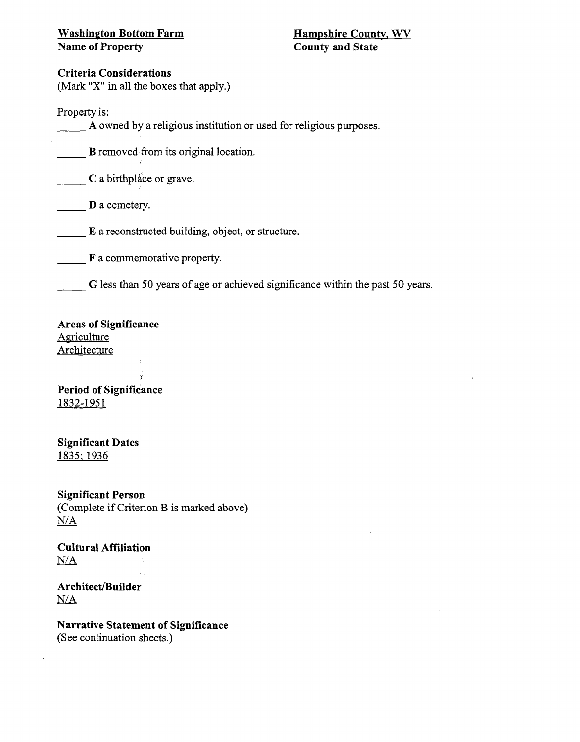# **Washinyton Bottom Farm Name of Property**

# **Criteria Considerations**

(Mark "X" in all the boxes that apply.)

Property is:

**A** owned by a religious institution or used for religious purposes.

B removed from its original location.

**C** a birthplace or grave.

D a cemetery.

E a reconstructed building, object, or structure.

F a commemorative property.

*G* less than 50 years of age or achieved significance within the past 50 years.

# **Areas of Significance**

**Agriculture** Architecture

**Period of Significance**  1832-1951

**Significant Dates**  1835: 1936

**Significant Person**  (Complete if Criterion B is marked above) N/A

**Cultural Affiliation**   $N/A$ 

Architect/Builder  $N/A$ 

**Narrative Statement of Significance**  (See continuation sheets.)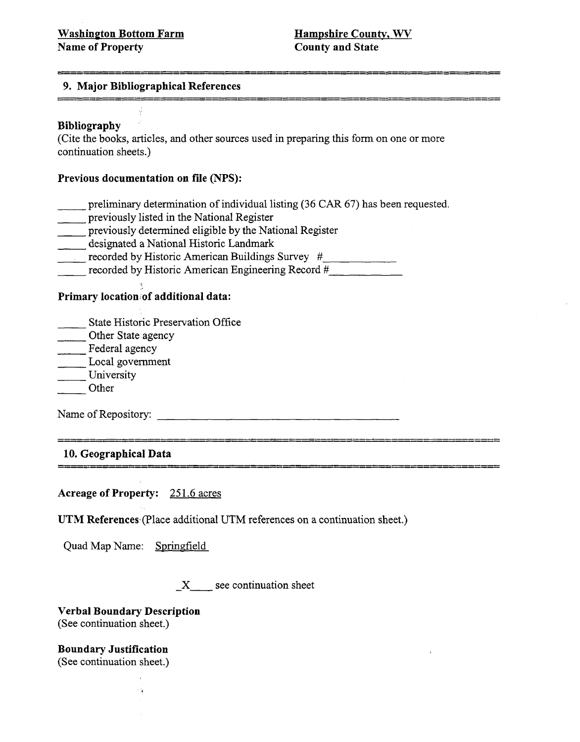### 9. Major Bibliographical References

## Bibliography

(Cite the books, articles, and other sources used in preparing this form on one or more continuation sheets.)

### Previous documentation on file **(NPS):**

- preliminary determination of individual listing (36 CAR 67) has been requested.
- previously listed in the National Register
- previously determined eligible by the National Register
- designated a National Historic Landmark
- recorded by Historic American Buildings Survey #
- $r =$  recorded by Historic American Engineering Record  $\frac{H}{r}$

#### Primary location of additional data:

- State Historic Preservation Office
- Other State agency
- Federal agency
- Local government
- University
- Other

Name of Repository: ------ - ---------------- -- ------------------ -------- -

\_\_\_\_\_\_\_\_\_\_\_

**10.** Geographical Data

Acreage of Property: 251.6 acres

UTM References (Place additional UTM references on a continuation sheet.)

Quad Map Name: Springfield

**3-** see continuation sheet

Verbal Boundary Description (See continuation sheet.)

 $\sigma$  's

Boundary Justification (See continuation sheet.)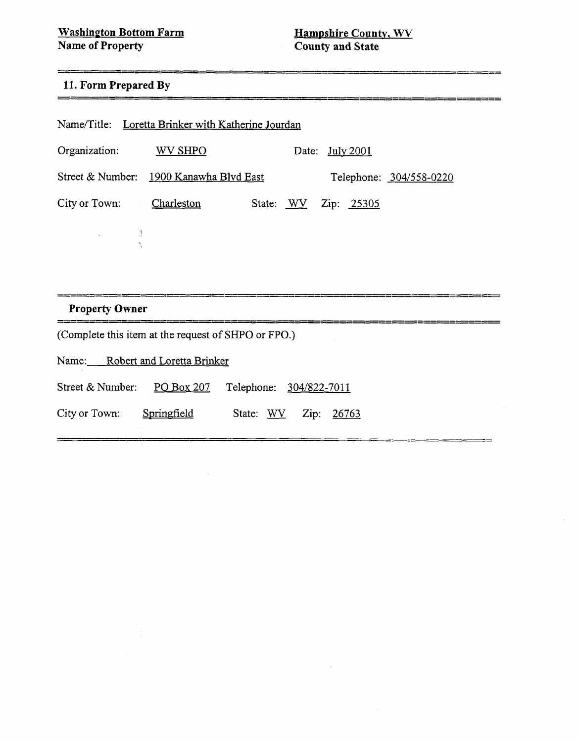<u>================================</u>

--------

 $=$ 

# -------------------------11. Form Prepared By

| Name/Title: Loretta Brinker with Katherine Jourdan                 |  |  |  |  |
|--------------------------------------------------------------------|--|--|--|--|
| Organization:<br>WV SHPO<br>Date: July 2001                        |  |  |  |  |
| Street & Number: 1900 Kanawha Blvd East<br>Telephone: 304/558-0220 |  |  |  |  |
| City or Town:<br>Charleston<br>State: WV Zip: 25305                |  |  |  |  |
| $\mathbb{R}^n \times \mathbb{R}^n$                                 |  |  |  |  |
|                                                                    |  |  |  |  |
|                                                                    |  |  |  |  |
| <b>Property Owner</b>                                              |  |  |  |  |
| (Complete this item at the request of SHPO or FPO.)                |  |  |  |  |
|                                                                    |  |  |  |  |
| Name:<br><b>Robert and Loretta Brinker</b>                         |  |  |  |  |
| Street & Number:<br>PO Box 207<br>Telephone: 304/822-7011          |  |  |  |  |

 $\hat{\mathcal{A}}$ 

 $\sim$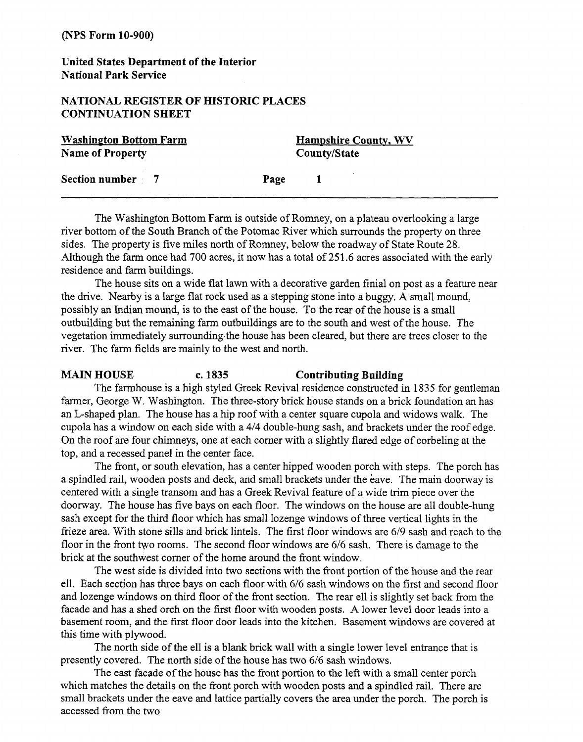**United States Department of the Interior National Park Service** 

# **NATIONAL REGISTER OF HISTORIC PLACES CONTINUATION SHEET**

| <b>Washington Bottom Farm</b> | <b>Hampshire County, WV</b> |
|-------------------------------|-----------------------------|
| <b>Name of Property</b>       | County/State                |
| Section number 7              | Page                        |

The Washington Bottom Farm is outside of Romney, on a plateau overlooking a large river bottom of the South Branch of the Potomac River which surrounds the property on three sides. The property is five miles north of Romney, below the roadway of State Route 28. Although the farm, once had 700 acres, it now has a total of 251.6 acres associated with the early residence and farm buildings.

The house sits on a wide flat lawn with a decorative garden finial on post as a feature near the drive. Nearby is a large flat rock used as a stepping stone into a buggy. A small mound, possibly an Indian mound, is to the east of the house. To the rear of the house is a small outbuilding but the remaining farm outbuildings are to the south and west of the house. The vegetation immediately surrounding,the house has been cleared, but there are trees closer to the river. The farm fields are mainly to the west and north.

#### **MAIN HOUSE c. 1835 Contributing Building**

The farmhouse is a high styled Greek Revival residence constructed in 1835 for gentleman farmer, George W. Washington. The three-story brick house stands on a brick foundation an has an L-shaped plan. The house has a hip roof with a center square cupola and widows walk. The cupola has a window on each side with a 414 double-hung sash, and brackets under the roof edge. On the roof are four chimneys, one at each comer with a slightly flared edge of corbeling at the top, and a recessed panel in the center face.

The fiont, or south elevation, has a center hipped wooden porch with steps. The porch has a spindled rail, wooden posts and deck, and small brackets under the eave. The main doorway is centered with a single transom and has a Greek Revival feature of a wide trim piece over the doorway. The house has five bays on each floor. The windows on the house are all double-hung sash except for the third floor which has small lozenge windows of three vertical lights in the frieze area. With stone sills and brick lintels. The first floor windows are 6/9 sash and reach to the floor in the front two rooms. The second floor windows are 6/6 sash. There is damage to the brick at the southwest corner of the home around the front window.

The west side is divided into two sections with the front portion of the house and the rear ell. Each section has three bays on each floor with 6/6 sash windows on the first and second floor and lozenge windows on third floor of the front section. The rear ell is slightly set back from the facade and has a shed orch on the first floor with wooden posts. A lower level door leads into a basement room, and the first floor door leads into the kitchen. Basement windows are covered at this time with plywood.

The north side of the ell is a blank brick wall with a single lower level entrance that is presently covered. The north side of the house has two 6/6 sash windows.

The east facade of the house has the fiont portion to the left with a small center porch which matches the details on the front porch with wooden posts and a spindled rail. There are small brackets under the eave and lattice partially covers the area under the porch. The porch is accessed fiom the two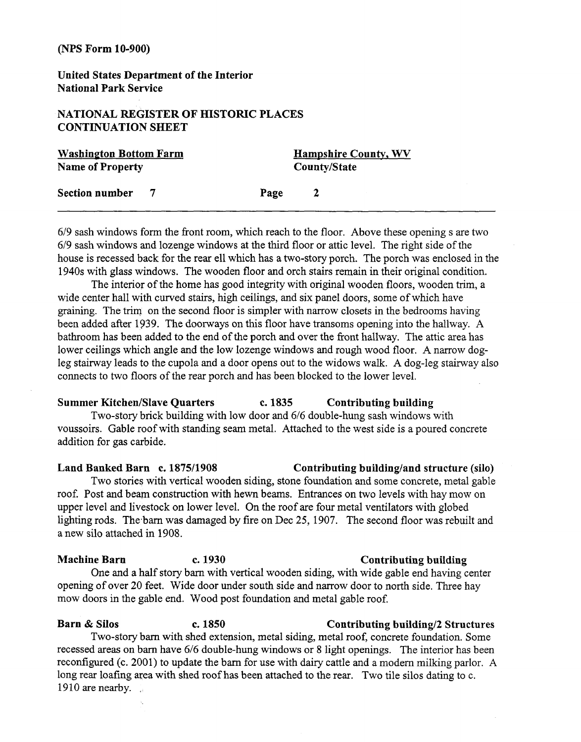**United States Department of the Interior National Park Service** 

# **NATIONAL REGISTER OF HISTORIC PLACES CONTINUATION SHEET**

| <b>Washington Bottom Farm</b><br><b>Name of Property</b> |  | <b>Hampshire County, WV</b><br>County/State |              |  |
|----------------------------------------------------------|--|---------------------------------------------|--------------|--|
| Section number                                           |  | Page                                        | <sup>2</sup> |  |

619 sash windows form the fiont room, which reach to the floor. Above these opening s are two 619 sash windows and lozenge windows at the third floor or attic level. The right side of the house is recessed back for the rear ell which has a two-story porch. The porch was enclosed in the 1940s with glass windows. The wooden floor and orch stairs remain in their original condition.

The interior of the home has good integrity with original wooden floors, wooden trim, a wide center hall with curved stairs, high ceilings, and six panel doors, some of which have graining. The trim on the second floor is simpler with narrow closets in the bedrooms having been added after 1939. The doorways on this floor have transoms opening into the hallway. A bathroom has been added to the end of the porch and over the fiont hallway. The attic area has lower ceilings whlch angle and the low lozenge windows and rough wood floor. A narrow dogleg stairway leads to the cupola and a door opens out to the widows walk. A dog-leg stairway also connects to two floors of the rear porch and has been blocked to the lower level.

#### **Summer Kitchen/Slave Quarters c. 1835 Contributing building**

Two-story brick building with low door and 616 double-hung sash windows with voussoirs. Gable roof with standing seam metal. Attached to the west side is a poured concrete addition for gas carbide.

**Land Banked Barn c. 187511908 Contributing buildingland structure (silo)**  Two stories with vertical wooden siding, stone foundation and some concrete, metal gable roof. Post and beam construction with hewn beams. Entrances on two levels with hay mow on upper level and livestock on lower level. On the roof are four metal ventilators with globed lighting rods. The barn was damaged by fire on Dec 25, 1907. The second floor was rebuilt and a new silo attached in 1908.

One and a half story barn with vertical wooden siding, with wide gable end having center opening of over 20 feet. Wide door under south side and narrow door to north side. Three hay mow doors in the gable end. Wood post foundation and metal gable roof.

#### **Barn & Silos c. 1850 Contributing building**/2 Structures

Two-story barn with shed extension, metal siding, metal roof, concrete foundation. Some recessed areas on barn have *616* double-hung windows or 8 light openings. The interior has been reconfigured (c. 2001) to update the barn for use with dairy cattle and a modem milking parlor. A long rear loafing area with shed roof has been attached to the rear. Two tile silos dating to c. 1910 are nearby.  $\mathbf{r}$ 

#### Machine Barn **c. 1930** Contributing building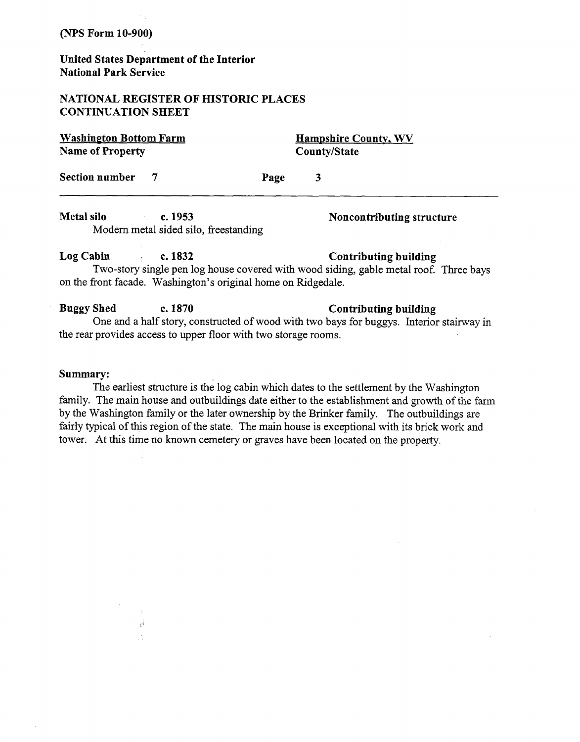## **United States Department of the Interior National Park Service**

# **NATIONAL REGISTER OF HISTORIC PLACES CONTINUATION SHEET**

**Washington Bottom Farm Name of Property** 

> °g≹ Á

**Hampshire County, WV CountyIState** 

Section number 7 Page 3

Metal silo **c. 1953** C. 2008 C. 2018 Noncontributing structure Modern metal sided silo, freestanding

Log Cabin **2. 1832 Contributing building** Two-story single pen log house covered with wood siding, gable metal roof. Three bays on the front facade. Washington's original home on Ridgedale.

**Buggy Shed c. 1870 Contributing building** One and a half story, constructed of wood with two bays for buggys. Interior stairway in the rear provides access to upper floor with two storage rooms.

#### **Summary:**

The earliest structure is the log cabin which dates to the settlement by the Washington family. The main house and outbuildings date either to the establishment and growth of the farm by the Washington family or the later ownership by the Brinker family. The outbuildings are fairly typical of this region of the state. The main house is exceptional with its brick work and tower. At this time no known cemetery or graves have been located on the property.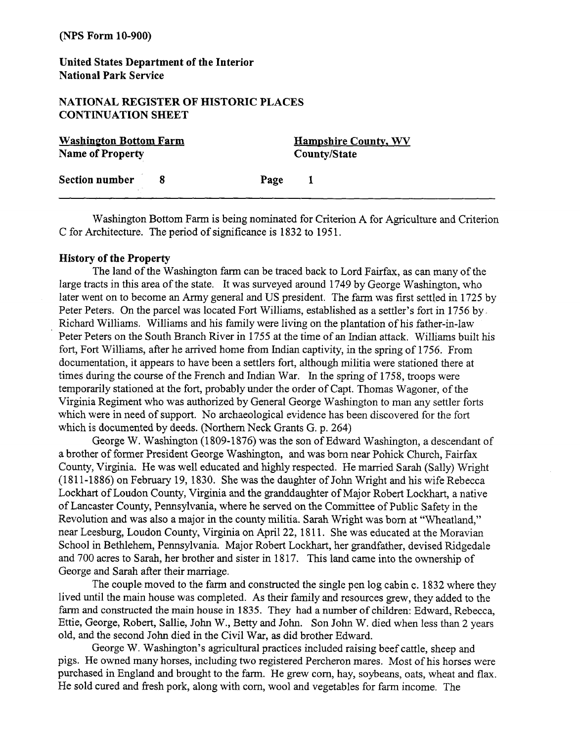# **United States Department of the Interior National Park Service**

#### **NATIONAL REGISTER OF HISTORIC PLACES CONTINUATION SHEET**

| <b>Washington Bottom Farm</b> | <b>Hampshire County, WV</b> |
|-------------------------------|-----------------------------|
| <b>Name of Property</b>       | County/State                |
| <b>Section number</b>         | Page<br>$\mathbf{I}$        |

Washington Bottom Farm is being nominated for Criterion A for Agriculture and Criterion C for Architecture. The period of significance is 1832 to 1951.

#### **History of the Property**

The land of the Washington farm can be traced back to Lord Fairfax, as can many of the large tracts in this area of the state. It was surveyed around 1749 by George Washington, who later went on to become an Army general and US president. The farm was first settled in 1725 by Peter Peters. On the parcel was located Fort Williams, established as a settler's fort in 1756 by. Richard Williams. Williams and his family were living on the plantation of his father-in-law Peter Peters on the South Branch River in 1755 at the time of an Indian attack. Williams built his fort, Fort Williams, after he arrived home from Indian captivity, in the spring of 1756. From documentation, it appears to have been a settlers fort, although militia were stationed there at times during the course of the French and Indian War. In the spring of 1758, troops were temporarily stationed at the fort, probably under the order of Capt. Thomas Wagoner, of the Virginia Regiment who was authorized by General George Washington to man any settler forts which were in need of support. No archaeological evidence has been discovered for the fort which is documented by deeds. (Northern Neck Grants G. p. 264)

George W. Washington (1809-1876) was the son of Edward Washington, a descendant of a brother of former President George Washington, and was born near Pohick Church, Fairfax County, Virginia. He was well educated and highly respected. He married Sarah (Sally) Wright (1811-1886) on February 19, 1830. She was the daughter of John Wright and his wife Rebecca Lockhart of Loudon County, Virginia and the granddaughter of Major Robert Lockhart, a native of Lancaster County, Pennsylvania, where he served on the Committee of Public Safety in the Revolution and was also a major in the county militia. Sarah Wright was born at "Wheatland," near Leesburg, Loudon County, Virginia on April 22,18 11. She was educated at the Moravian School in Bethlehem, Pennsylvania. Major Robert Lockhart, her grandfather, devised Ridgedale and 700 acres to Sarah, her brother and sister in 1817. This land came into the ownership of George and Sarah after their marriage.

The couple moved to the farm and constructed the single pen log cabin c. 1832 where they lived until the main house was completed. As their family and resources grew, they added to the farm and constructed the main house in 1835. They had a number of children: Edward, Rebecca, Ettie, George, Robert, Sallie, John W., Betty and John. Son John W. died when less than 2 years old, and the second John died in the Civil War, as did brother Edward.

George W. Washington's agricultural practices included raising beef cattle, sheep and pigs. He owned many horses, including two registered Percheron mares. Most of his horses were purchased in England and brought to the farm. He grew corn, hay, soybeans, oats, wheat and flax. He sold cured and fiesh pork, along with corn, wool and vegetables for farm income. The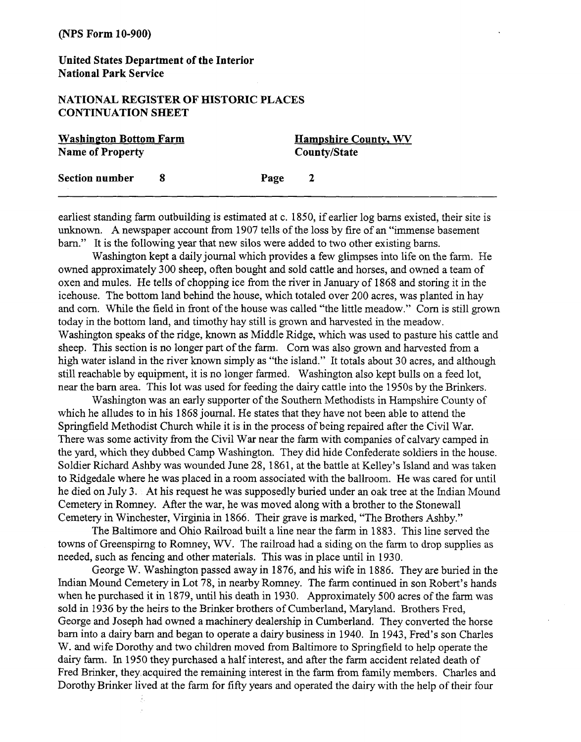# **United States Department of the Interior National Park Sewice**

## **NATIONAL REGISTER OF HISTORIC PLACES CONTINUATION SHEET**

| <b>Washington Bottom Farm</b> |  |              | <b>Hampshire County, WV</b> |  |
|-------------------------------|--|--------------|-----------------------------|--|
| Name of Property              |  | County/State |                             |  |
| <b>Section number</b>         |  | Page         | -2                          |  |

earliest standing farm outbuilding is estimated at c. 1850, if earlier log barns existed, their site is unknown. A newspaper account from 1907 tells of the loss by fire of an "immense basement barn." It is the following year that new silos were added to two other existing barns.

Washington kept a daily journal which provides a few glimpses into life on the farm. He owned approximately 300 sheep, often bought and sold cattle and horses, and owned a team of oxen and mules. He tells of chopping ice from the river in January of 1868 and storing it in the icehouse. The bottom land behind the house, which totaled over 200 acres, was planted in hay and corn. While the field in front of the house was called "the little meadow." Corn is still grown today in the bottom land, and timothy hay still is grown and harvested in the meadow. Washington speaks of the ridge, known as Middle Ridge, which was used to pasture his cattle and sheep. This section is no longer part of the farm. Corn was also grown and harvested from a high water island in the river known simply as "the island." It totals about 30 acres, and although still reachable by equipment, it is no longer farmed. Washington also kept bulls on a feed lot, near the barn area. This lot was used for feeding the dairy cattle into the 1950s by the Brinkers.

Washington was an early supporter of the Southern Methodists in Hampshire County of which he alludes to in his 1868 journal. He states that they have not been able to attend the Springfield Methodist Church while it is in the process of being repaired after the Civil War. There was some activity from the Civil War near the farm with companies of calvary camped in the yard, which they dubbed Camp Washington. They did hide Confederate soldiers in the house. Soldier Richard Ashby was wounded June 28, 1861, at the battle at Kelley's Island and was taken to Ridgedale where he was placed in a room associated with the ballroom. He was cared for until he died on July 3. At his request he was supposedly buried under an oak tree at the Indian Mound Cemetery in Romney. After the war, he was moved along with a brother to the Stonewall Cemetery in Winchester, Virginia in 1866. Their grave is marked, "The Brothers Ashby."

The Baltimore and Ohio Railroad built a line near the farm in 1883. This line served the towns of Greenspirng to Romney, WV. The railroad had a siding on the farm to drop supplies as needed, such as fencing and other materials. This was in place until in 1930.

George W. Washington passed away in 1876, and his wife in 1886. They are buried in the Indian Mound Cemetery in Lot 78, in nearby Romney. The farm continued in son Robert's hands when he purchased it in 1879, until his death in 1930. Approximately 500 acres of the farm was sold in 1936 by the heirs to the Brinker brothers of Cumberland, Maryland. Brothers Fred, George and Joseph had owned a machinery dealership in Cumberland. They converted the horse barn into a dairy barn and began to operate a dairy business in 1940. In 1943, Fred's son Charles W. and wife Dorothy and two children moved from Baltimore to Springfield to help operate the dairy farm. In 1950 they purchased a half interest, and after the farm accident related death of Fred Brinker, they acquired the remaining interest in the farm from family members. Charles and Dorothy Brinker lived at the farm for **fifty** years and operated the dairy with the help of their four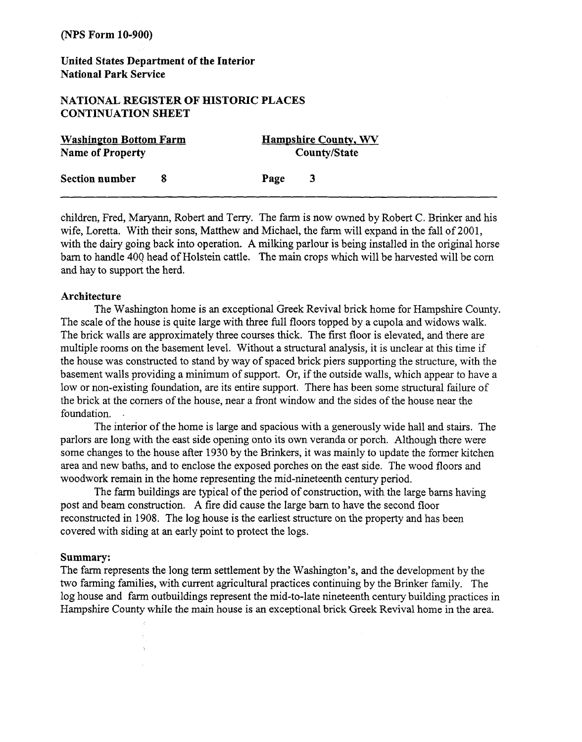# **United States Department of the Interior National Park Service**

## **NATIONAL REGISTER OF HISTORIC PLACES CONTINUATION SHEET**

| <b>Washington Bottom Farm</b> | <b>Hampshire County, WV</b> |  |
|-------------------------------|-----------------------------|--|
| <b>Name of Property</b>       | <b>County/State</b>         |  |
| <b>Section number</b>         | Page                        |  |

children, Fred, Maryann, Robert and Terry. The farm is now owned by Robert C. Brinker and his wife, Loretta. With their sons, Matthew and Michael, the farm will expand in the fall of 2001, with the dairy going back into operation. **A** milking parlour is being installed in the original horse barn to handle 400 head of Holstein cattle. The main crops which will be harvested will be corn and hay to support the herd.

#### **Architecture**

The Washington home is an exceptional Greek Revival brick home for Hampshire County. The scale of the house is quite large with three full floors topped by a cupola and widows walk. The brick walls are approximately three courses thick. The first floor is elevated, and there are multiple rooms on the basement level. Without a structural analysis, it is unclear at this time if the house was constructed to stand by way of spaced brick piers supporting the structure, with the basement walls providing a minimum of support. Or, if the outside walls, which appear to have a low or non-existing foundation, are its entire support. There has been some structural failure of the brick at the comers of the house, near a front window and the sides of the house near the foundation. .

The interior of the home is large and spacious with a generously wide hall and stairs. The parlors are long with the east side opening onto its own veranda or porch. Although there were some changes to the house after 1930 by the Brinkers, it was mainly to update the former kitchen area and new baths, and to enclose the exposed porches on the east side. The wood floors and woodwork remain in the home representing the mid-nineteenth century period.

The farm buildings are typical of the period of construction, with the large barns having post and beam construction. A fire did cause the large barn to have the second floor reconstructed in 1908. The log house is the earliest structure on the property and has been covered with siding at an early point to protect the logs.

#### **Summary:**

The farm represents the long term settlement by the Washington's, and the development by the two farming families, with current agricultural practices continuing by the Brinker family. The log house and farm outbuildings represent the mid-to-late nineteenth century building practices in Hampshire County while the main house is an exceptional brick Greek Revival home in the area.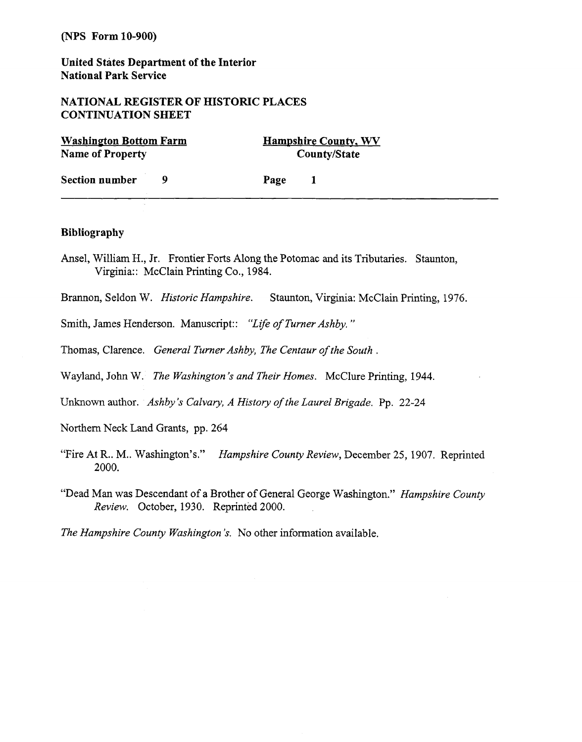**United States Department of the Interior National Park Service** 

#### **NATIONAL REGISTER OF HISTORIC PLACES CONTINUATION SHEET**

| <b>Washington Bottom Farm</b><br><b>Name of Property</b> |  |      | <b>Hampshire County, WV</b><br>County/State |  |
|----------------------------------------------------------|--|------|---------------------------------------------|--|
| <b>Section number</b>                                    |  | Page |                                             |  |

#### **Bibliography**

Ansel, William H., Jr. Frontier Forts Along the Potomac and its Tributaries. Staunton, Virginia: : McClain Printing Co., **1984.** 

Brannon, Seldon W. *Historic Hampshire.* Staunton, Virginia: McClain Printing, 1976.

Smith, James Henderson. Manuscript:: *"Life of Turner Ashby.* "

Thomas, Clarence. *General Turner Ashby, The Centaur of the South*.

Wayland, John W. *The Washington's and Their Homes.* McClure Printing, 1944.

Unknown author. *Ashby's Calvary, A History of the Laurel Brigade.* **Pp. 22-24** 

Northern Neck Land Grants, pp. **264** 

- "Fire At R.. M.. Washington's." *Hampshire County* Review, December 25, 1907. Reprinted 2000.
- "Dead Man was Descendant of a Brother of General George Washington." *Hampshire County Review.* October, 1930. Reprinted 2000.

*The Hampshire County Washington 's.* No other information available.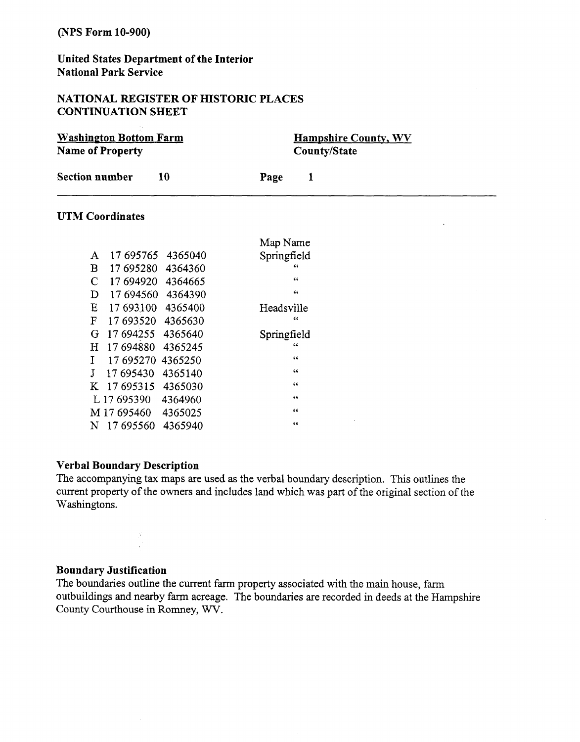# **United States Department of the Interior National Park Service**

## **NATIONAL REGISTER OF HISTORIC PLACES CONTINUATION SHEET**

| <b>Washington Bottom Farm</b><br><b>Name of Property</b> |    |      | <b>Hampshire County, WV</b><br><b>County/State</b> |
|----------------------------------------------------------|----|------|----------------------------------------------------|
| <b>Section number</b>                                    | 10 | Page |                                                    |

 $\Delta$ 

# **UTM Coordinates**

|             |             |         | Map Name    |
|-------------|-------------|---------|-------------|
| A           | 17 695765   | 4365040 | Springfield |
| $\bf{B}$    | 17 695280   | 4364360 | 46          |
| $\mathbf C$ | 17 694920   | 4364665 | 66          |
| D           | 17 694560   | 4364390 | 66          |
| E           | 17 693100   | 4365400 | Headsville  |
| F           | 17 693520   | 4365630 | 66          |
| G           | 17 694255   | 4365640 | Springfield |
| Η           | 17694880    | 4365245 | 66          |
| T           | 17 695270   | 4365250 | 66          |
| Л           | 17 695430   | 4365140 | 66          |
| K           | 17695315    | 4365030 | 66          |
|             | L 17 695390 | 4364960 | 66          |
|             | M 17 695460 | 4365025 | 66          |
| N           | 17 695560   | 4365940 | 66          |

#### **Verbal Boundary Description**

 $\bar{\mathcal{A}}$ 

The accompanying tax maps are used as the verbal boundary description. This outlines the current property of the owners and includes land which was part of the original section of the Washingtons.

 $\sim$ 

#### **Boundary Justification**

The boundaries outline the current farm property associated with the main house, farm outbuildings and nearby farm acreage. The boundaries are recorded in deeds at the Hampshire County Courthouse in Romney, WV.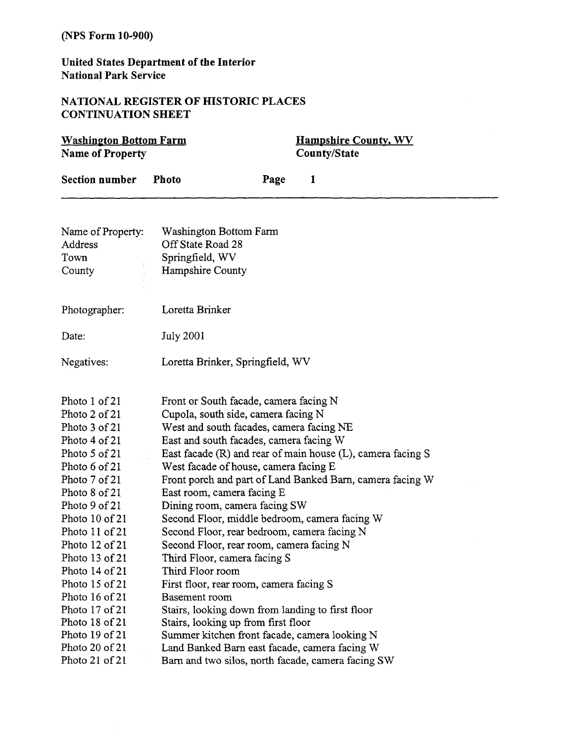# **United States Department of the Interior National Park Service**

# **NATIONAL REGISTER OF HISTORIC PLACES CONTINUATION SHEET**

| <b>Washington Bottom Farm</b><br><b>Name of Property</b>                                                                                                                                                                                                                                                                                                                          |                                                                                                                                                                                                                                                                                                                                                                                                                                                                                                                                                                                                                                                                                                                                                                                                    |      | <b>Hampshire County, WV</b><br><b>County/State</b> |                                                                                                                          |  |
|-----------------------------------------------------------------------------------------------------------------------------------------------------------------------------------------------------------------------------------------------------------------------------------------------------------------------------------------------------------------------------------|----------------------------------------------------------------------------------------------------------------------------------------------------------------------------------------------------------------------------------------------------------------------------------------------------------------------------------------------------------------------------------------------------------------------------------------------------------------------------------------------------------------------------------------------------------------------------------------------------------------------------------------------------------------------------------------------------------------------------------------------------------------------------------------------------|------|----------------------------------------------------|--------------------------------------------------------------------------------------------------------------------------|--|
| <b>Section number</b>                                                                                                                                                                                                                                                                                                                                                             | <b>Photo</b>                                                                                                                                                                                                                                                                                                                                                                                                                                                                                                                                                                                                                                                                                                                                                                                       | Page | 1                                                  |                                                                                                                          |  |
| Name of Property:<br>Address<br>Town<br>County                                                                                                                                                                                                                                                                                                                                    | Washington Bottom Farm<br>Off State Road 28<br>Springfield, WV<br>Hampshire County                                                                                                                                                                                                                                                                                                                                                                                                                                                                                                                                                                                                                                                                                                                 |      |                                                    |                                                                                                                          |  |
| Photographer:                                                                                                                                                                                                                                                                                                                                                                     | Loretta Brinker                                                                                                                                                                                                                                                                                                                                                                                                                                                                                                                                                                                                                                                                                                                                                                                    |      |                                                    |                                                                                                                          |  |
| Date:                                                                                                                                                                                                                                                                                                                                                                             | <b>July 2001</b>                                                                                                                                                                                                                                                                                                                                                                                                                                                                                                                                                                                                                                                                                                                                                                                   |      |                                                    |                                                                                                                          |  |
| Negatives:                                                                                                                                                                                                                                                                                                                                                                        | Loretta Brinker, Springfield, WV                                                                                                                                                                                                                                                                                                                                                                                                                                                                                                                                                                                                                                                                                                                                                                   |      |                                                    |                                                                                                                          |  |
| Photo 1 of 21<br>Photo 2 of 21<br>Photo 3 of 21<br>Photo 4 of 21<br>Photo 5 of 21<br>Photo 6 of 21<br>Photo 7 of 21<br>Photo 8 of 21<br>Photo 9 of 21<br>Photo 10 of 21<br>Photo 11 of 21<br>Photo 12 of 21<br>Photo 13 of 21<br>Photo $14$ of $21$<br>Photo 15 of 21<br>Photo 16 of 21<br>Photo 17 of 21<br>Photo 18 of 21<br>Photo 19 of 21<br>Photo 20 of 21<br>Photo 21 of 21 | Front or South facade, camera facing N<br>Cupola, south side, camera facing N<br>West and south facades, camera facing NE<br>East and south facades, camera facing W<br>West facade of house, camera facing E<br>East room, camera facing E<br>Dining room, camera facing SW<br>Second Floor, middle bedroom, camera facing W<br>Second Floor, rear bedroom, camera facing N<br>Second Floor, rear room, camera facing N<br>Third Floor, camera facing S<br>Third Floor room<br>First floor, rear room, camera facing S<br><b>Basement</b> room<br>Stairs, looking down from landing to first floor<br>Stairs, looking up from first floor<br>Summer kitchen front facade, camera looking N<br>Land Banked Barn east facade, camera facing W<br>Barn and two silos, north facade, camera facing SW |      |                                                    | East facade (R) and rear of main house (L), camera facing S<br>Front porch and part of Land Banked Barn, camera facing W |  |

▃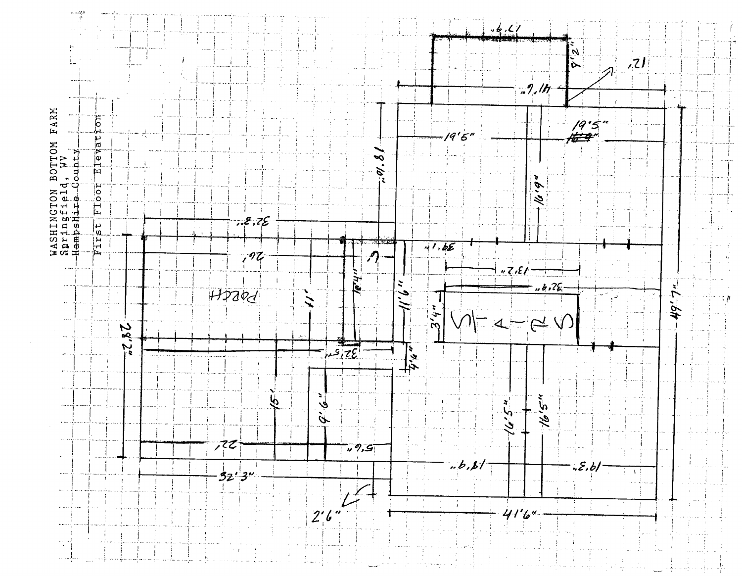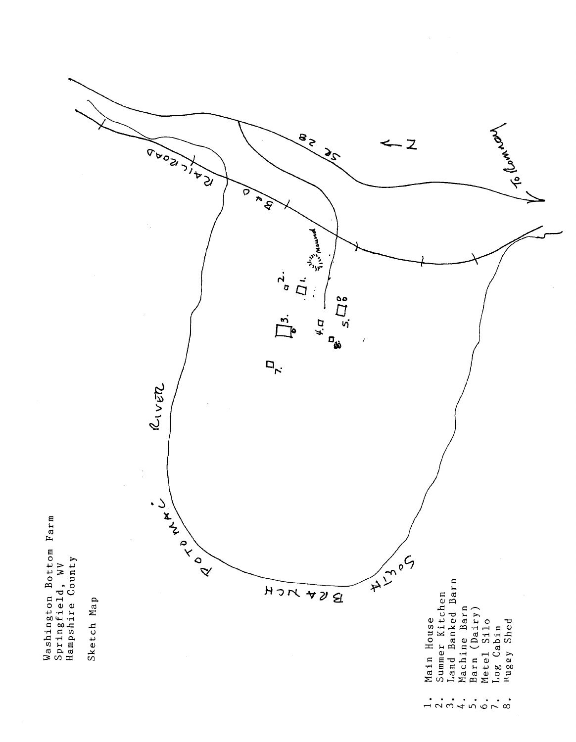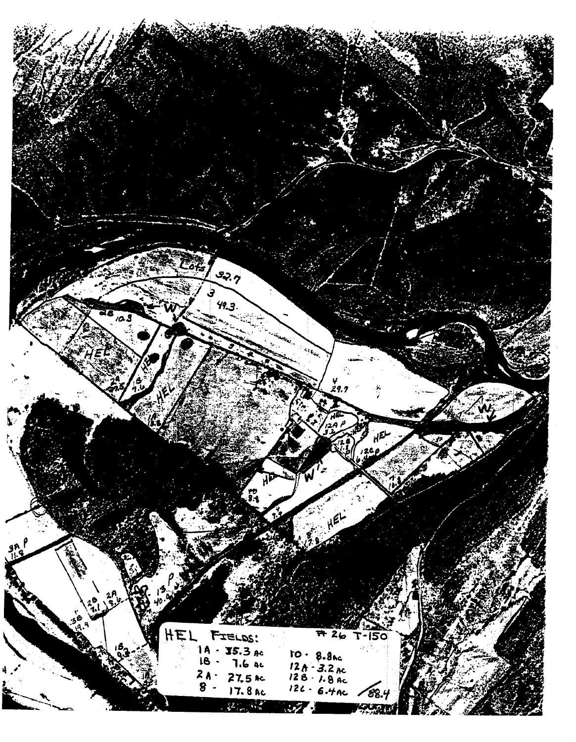